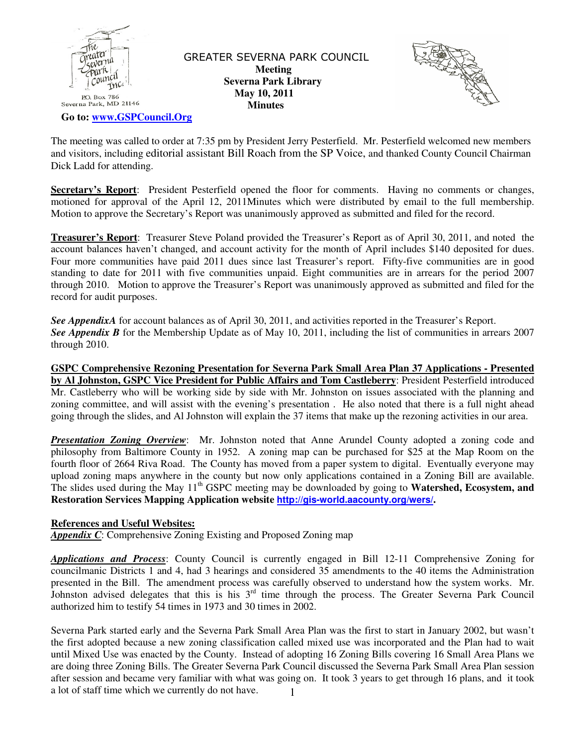

 GREATER SEVERNA PARK COUNCIL  **Meeting Severna Park Library May 10, 2011 Minutes** 



 **Go to: www.GSPCouncil.Org**

The meeting was called to order at 7:35 pm by President Jerry Pesterfield. Mr. Pesterfield welcomed new members and visitors, including editorial assistant Bill Roach from the SP Voice, and thanked County Council Chairman Dick Ladd for attending.

**Secretary's Report**: President Pesterfield opened the floor for comments. Having no comments or changes, motioned for approval of the April 12, 2011Minutes which were distributed by email to the full membership. Motion to approve the Secretary's Report was unanimously approved as submitted and filed for the record.

**Treasurer's Report**: Treasurer Steve Poland provided the Treasurer's Report as of April 30, 2011, and noted the account balances haven't changed, and account activity for the month of April includes \$140 deposited for dues. Four more communities have paid 2011 dues since last Treasurer's report. Fifty-five communities are in good standing to date for 2011 with five communities unpaid. Eight communities are in arrears for the period 2007 through 2010. Motion to approve the Treasurer's Report was unanimously approved as submitted and filed for the record for audit purposes.

*See AppendixA* for account balances as of April 30, 2011, and activities reported in the Treasurer's Report. See Appendix B for the Membership Update as of May 10, 2011, including the list of communities in arrears 2007 through 2010.

**GSPC Comprehensive Rezoning Presentation for Severna Park Small Area Plan 37 Applications - Presented by Al Johnston, GSPC Vice President for Public Affairs and Tom Castleberry**: President Pesterfield introduced Mr. Castleberry who will be working side by side with Mr. Johnston on issues associated with the planning and zoning committee, and will assist with the evening's presentation . He also noted that there is a full night ahead going through the slides, and Al Johnston will explain the 37 items that make up the rezoning activities in our area.

*Presentation Zoning Overview*: Mr. Johnston noted that Anne Arundel County adopted a zoning code and philosophy from Baltimore County in 1952. A zoning map can be purchased for \$25 at the Map Room on the fourth floor of 2664 Riva Road. The County has moved from a paper system to digital. Eventually everyone may upload zoning maps anywhere in the county but now only applications contained in a Zoning Bill are available. The slides used during the May 11<sup>th</sup> GSPC meeting may be downloaded by going to **Watershed, Ecosystem, and Restoration Services Mapping Application website http://gis-world.aacounty.org/wers/.** 

### **References and Useful Websites:**

*Appendix C*: Comprehensive Zoning Existing and Proposed Zoning map

*Applications and Process*: County Council is currently engaged in Bill 12-11 Comprehensive Zoning for councilmanic Districts 1 and 4, had 3 hearings and considered 35 amendments to the 40 items the Administration presented in the Bill. The amendment process was carefully observed to understand how the system works. Mr. Johnston advised delegates that this is his  $3<sup>rd</sup>$  time through the process. The Greater Severna Park Council authorized him to testify 54 times in 1973 and 30 times in 2002.

1 Severna Park started early and the Severna Park Small Area Plan was the first to start in January 2002, but wasn't the first adopted because a new zoning classification called mixed use was incorporated and the Plan had to wait until Mixed Use was enacted by the County. Instead of adopting 16 Zoning Bills covering 16 Small Area Plans we are doing three Zoning Bills. The Greater Severna Park Council discussed the Severna Park Small Area Plan session after session and became very familiar with what was going on. It took 3 years to get through 16 plans, and it took a lot of staff time which we currently do not have.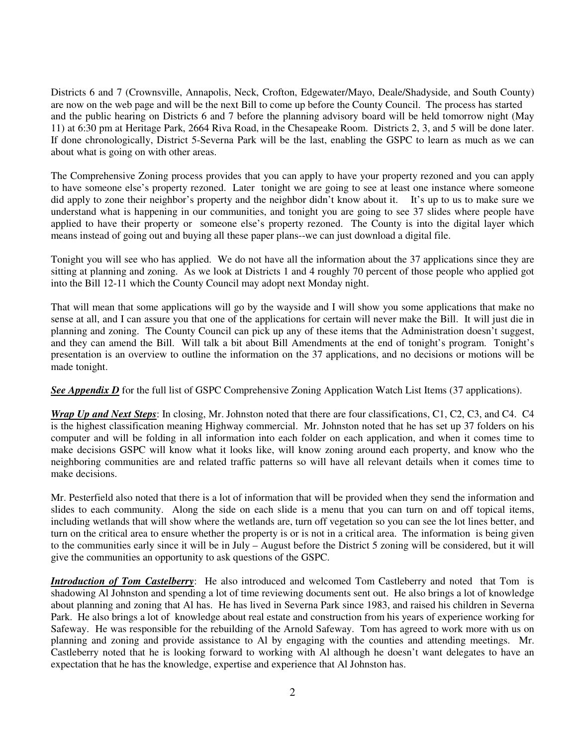Districts 6 and 7 (Crownsville, Annapolis, Neck, Crofton, Edgewater/Mayo, Deale/Shadyside, and South County) are now on the web page and will be the next Bill to come up before the County Council. The process has started and the public hearing on Districts 6 and 7 before the planning advisory board will be held tomorrow night (May 11) at 6:30 pm at Heritage Park, 2664 Riva Road, in the Chesapeake Room. Districts 2, 3, and 5 will be done later. If done chronologically, District 5-Severna Park will be the last, enabling the GSPC to learn as much as we can about what is going on with other areas.

The Comprehensive Zoning process provides that you can apply to have your property rezoned and you can apply to have someone else's property rezoned. Later tonight we are going to see at least one instance where someone did apply to zone their neighbor's property and the neighbor didn't know about it. It's up to us to make sure we understand what is happening in our communities, and tonight you are going to see 37 slides where people have applied to have their property or someone else's property rezoned. The County is into the digital layer which means instead of going out and buying all these paper plans--we can just download a digital file.

Tonight you will see who has applied. We do not have all the information about the 37 applications since they are sitting at planning and zoning. As we look at Districts 1 and 4 roughly 70 percent of those people who applied got into the Bill 12-11 which the County Council may adopt next Monday night.

That will mean that some applications will go by the wayside and I will show you some applications that make no sense at all, and I can assure you that one of the applications for certain will never make the Bill. It will just die in planning and zoning. The County Council can pick up any of these items that the Administration doesn't suggest, and they can amend the Bill. Will talk a bit about Bill Amendments at the end of tonight's program. Tonight's presentation is an overview to outline the information on the 37 applications, and no decisions or motions will be made tonight.

*See Appendix D* for the full list of GSPC Comprehensive Zoning Application Watch List Items (37 applications).

*Wrap Up and Next Steps*: In closing, Mr. Johnston noted that there are four classifications, C1, C2, C3, and C4. C4 is the highest classification meaning Highway commercial. Mr. Johnston noted that he has set up 37 folders on his computer and will be folding in all information into each folder on each application, and when it comes time to make decisions GSPC will know what it looks like, will know zoning around each property, and know who the neighboring communities are and related traffic patterns so will have all relevant details when it comes time to make decisions.

Mr. Pesterfield also noted that there is a lot of information that will be provided when they send the information and slides to each community. Along the side on each slide is a menu that you can turn on and off topical items, including wetlands that will show where the wetlands are, turn off vegetation so you can see the lot lines better, and turn on the critical area to ensure whether the property is or is not in a critical area. The information is being given to the communities early since it will be in July – August before the District 5 zoning will be considered, but it will give the communities an opportunity to ask questions of the GSPC.

*Introduction of Tom Castelberry*: He also introduced and welcomed Tom Castleberry and noted that Tom is shadowing Al Johnston and spending a lot of time reviewing documents sent out. He also brings a lot of knowledge about planning and zoning that Al has. He has lived in Severna Park since 1983, and raised his children in Severna Park. He also brings a lot of knowledge about real estate and construction from his years of experience working for Safeway. He was responsible for the rebuilding of the Arnold Safeway. Tom has agreed to work more with us on planning and zoning and provide assistance to Al by engaging with the counties and attending meetings. Mr. Castleberry noted that he is looking forward to working with Al although he doesn't want delegates to have an expectation that he has the knowledge, expertise and experience that Al Johnston has.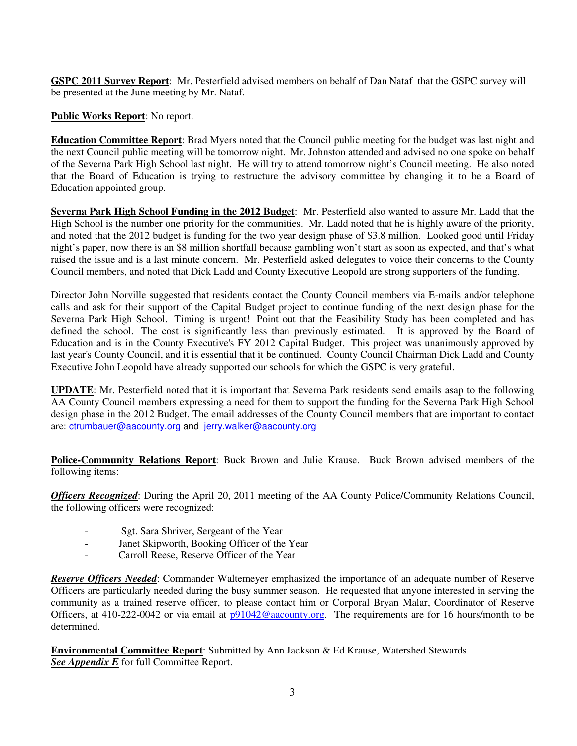**GSPC 2011 Survey Report**: Mr. Pesterfield advised members on behalf of Dan Nataf that the GSPC survey will be presented at the June meeting by Mr. Nataf.

**Public Works Report**: No report.

**Education Committee Report**: Brad Myers noted that the Council public meeting for the budget was last night and the next Council public meeting will be tomorrow night. Mr. Johnston attended and advised no one spoke on behalf of the Severna Park High School last night. He will try to attend tomorrow night's Council meeting. He also noted that the Board of Education is trying to restructure the advisory committee by changing it to be a Board of Education appointed group.

**Severna Park High School Funding in the 2012 Budget**: Mr. Pesterfield also wanted to assure Mr. Ladd that the High School is the number one priority for the communities. Mr. Ladd noted that he is highly aware of the priority, and noted that the 2012 budget is funding for the two year design phase of \$3.8 million. Looked good until Friday night's paper, now there is an \$8 million shortfall because gambling won't start as soon as expected, and that's what raised the issue and is a last minute concern. Mr. Pesterfield asked delegates to voice their concerns to the County Council members, and noted that Dick Ladd and County Executive Leopold are strong supporters of the funding.

Director John Norville suggested that residents contact the County Council members via E-mails and/or telephone calls and ask for their support of the Capital Budget project to continue funding of the next design phase for the Severna Park High School. Timing is urgent! Point out that the Feasibility Study has been completed and has defined the school. The cost is significantly less than previously estimated. It is approved by the Board of Education and is in the County Executive's FY 2012 Capital Budget. This project was unanimously approved by last year's County Council, and it is essential that it be continued. County Council Chairman Dick Ladd and County Executive John Leopold have already supported our schools for which the GSPC is very grateful.

**UPDATE**: Mr. Pesterfield noted that it is important that Severna Park residents send emails asap to the following AA County Council members expressing a need for them to support the funding for the Severna Park High School design phase in the 2012 Budget. The email addresses of the County Council members that are important to contact are: ctrumbauer@aacounty.org and jerry.walker@aacounty.org

**Police-Community Relations Report**: Buck Brown and Julie Krause. Buck Brown advised members of the following items:

*Officers Recognized*: During the April 20, 2011 meeting of the AA County Police/Community Relations Council, the following officers were recognized:

- Sgt. Sara Shriver, Sergeant of the Year
- Janet Skipworth, Booking Officer of the Year
- Carroll Reese, Reserve Officer of the Year

*Reserve Officers Needed*: Commander Waltemeyer emphasized the importance of an adequate number of Reserve Officers are particularly needed during the busy summer season. He requested that anyone interested in serving the community as a trained reserve officer, to please contact him or Corporal Bryan Malar, Coordinator of Reserve Officers, at 410-222-0042 or via email at  $p91042@$  aacounty.org. The requirements are for 16 hours/month to be determined.

**Environmental Committee Report**: Submitted by Ann Jackson & Ed Krause, Watershed Stewards. *See Appendix E* for full Committee Report.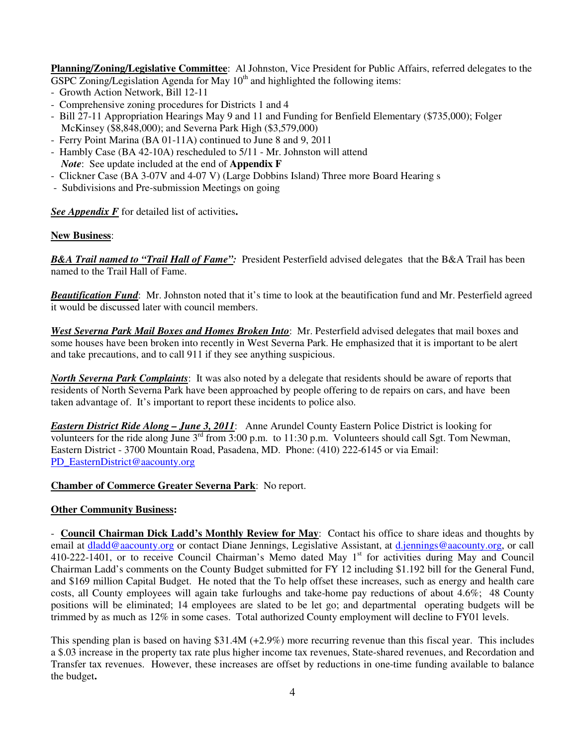**Planning/Zoning/Legislative Committee**: Al Johnston, Vice President for Public Affairs, referred delegates to the GSPC Zoning/Legislation Agenda for May  $10<sup>th</sup>$  and highlighted the following items:

- Growth Action Network, Bill 12-11
- Comprehensive zoning procedures for Districts 1 and 4
- Bill 27-11 Appropriation Hearings May 9 and 11 and Funding for Benfield Elementary (\$735,000); Folger McKinsey (\$8,848,000); and Severna Park High (\$3,579,000)
- Ferry Point Marina (BA 01-11A) continued to June 8 and 9, 2011
- Hambly Case (BA 42-10A) rescheduled to 5/11 Mr. Johnston will attend *Note*: See update included at the end of **Appendix F**
- Clickner Case (BA 3-07V and 4-07 V) (Large Dobbins Island) Three more Board Hearing s
- Subdivisions and Pre-submission Meetings on going

*See Appendix F* for detailed list of activities**.** 

### **New Business**:

*B&A Trail named to "Trail Hall of Fame":* President Pesterfield advised delegates that the B&A Trail has been named to the Trail Hall of Fame.

*Beautification Fund*: Mr. Johnston noted that it's time to look at the beautification fund and Mr. Pesterfield agreed it would be discussed later with council members.

*West Severna Park Mail Boxes and Homes Broken Into*: Mr. Pesterfield advised delegates that mail boxes and some houses have been broken into recently in West Severna Park. He emphasized that it is important to be alert and take precautions, and to call 911 if they see anything suspicious.

*North Severna Park Complaints*: It was also noted by a delegate that residents should be aware of reports that residents of North Severna Park have been approached by people offering to de repairs on cars, and have been taken advantage of. It's important to report these incidents to police also.

*Eastern District Ride Along – June 3, 2011*: Anne Arundel County Eastern Police District is looking for volunteers for the ride along June 3<sup>rd</sup> from 3:00 p.m. to 11:30 p.m. Volunteers should call Sgt. Tom Newman, Eastern District - 3700 Mountain Road, Pasadena, MD. Phone: (410) 222-6145 or via Email: PD\_EasternDistrict@aacounty.org

#### **Chamber of Commerce Greater Severna Park**: No report.

#### **Other Community Business:**

- **Council Chairman Dick Ladd's Monthly Review for May**: Contact his office to share ideas and thoughts by email at dladd@aacounty.org or contact Diane Jennings, Legislative Assistant, at d.jennings@aacounty.org, or call 410-222-1401, or to receive Council Chairman's Memo dated May 1<sup>st</sup> for activities during May and Council Chairman Ladd's comments on the County Budget submitted for FY 12 including \$1.192 bill for the General Fund, and \$169 million Capital Budget. He noted that the To help offset these increases, such as energy and health care costs, all County employees will again take furloughs and take-home pay reductions of about 4.6%; 48 County positions will be eliminated; 14 employees are slated to be let go; and departmental operating budgets will be trimmed by as much as 12% in some cases. Total authorized County employment will decline to FY01 levels.

This spending plan is based on having \$31.4M (+2.9%) more recurring revenue than this fiscal year. This includes a \$.03 increase in the property tax rate plus higher income tax revenues, State-shared revenues, and Recordation and Transfer tax revenues. However, these increases are offset by reductions in one-time funding available to balance the budget**.**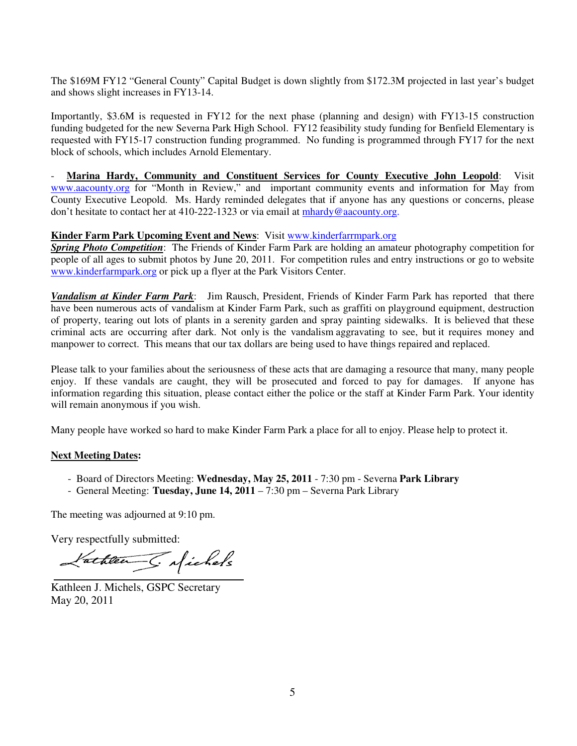The \$169M FY12 "General County" Capital Budget is down slightly from \$172.3M projected in last year's budget and shows slight increases in FY13-14.

Importantly, \$3.6M is requested in FY12 for the next phase (planning and design) with FY13-15 construction funding budgeted for the new Severna Park High School. FY12 feasibility study funding for Benfield Elementary is requested with FY15-17 construction funding programmed. No funding is programmed through FY17 for the next block of schools, which includes Arnold Elementary.

- **Marina Hardy, Community and Constituent Services for County Executive John Leopold**: Visit www.aacounty.org for "Month in Review," and important community events and information for May from County Executive Leopold. Ms. Hardy reminded delegates that if anyone has any questions or concerns, please don't hesitate to contact her at 410-222-1323 or via email at mhardy@aacounty.org.

### **Kinder Farm Park Upcoming Event and News**: Visit www.kinderfarrmpark.org

*Spring Photo Competition*: The Friends of Kinder Farm Park are holding an amateur photography competition for people of all ages to submit photos by June 20, 2011. For competition rules and entry instructions or go to website www.kinderfarmpark.org or pick up a flyer at the Park Visitors Center.

*Vandalism at Kinder Farm Park*: Jim Rausch, President, Friends of Kinder Farm Park has reported that there have been numerous acts of vandalism at Kinder Farm Park, such as graffiti on playground equipment, destruction of property, tearing out lots of plants in a serenity garden and spray painting sidewalks. It is believed that these criminal acts are occurring after dark. Not only is the vandalism aggravating to see, but it requires money and manpower to correct. This means that our tax dollars are being used to have things repaired and replaced.

Please talk to your families about the seriousness of these acts that are damaging a resource that many, many people enjoy. If these vandals are caught, they will be prosecuted and forced to pay for damages. If anyone has information regarding this situation, please contact either the police or the staff at Kinder Farm Park. Your identity will remain anonymous if you wish.

Many people have worked so hard to make Kinder Farm Park a place for all to enjoy. Please help to protect it.

#### **Next Meeting Dates:**

- Board of Directors Meeting: **Wednesday, May 25, 2011** 7:30 pm Severna **Park Library**
- General Meeting: **Tuesday, June 14, 2011** 7:30 pm Severna Park Library

The meeting was adjourned at 9:10 pm.

Very respectfully submitted:

Vathlen S. Michels

Kathleen J. Michels, GSPC Secretary May 20, 2011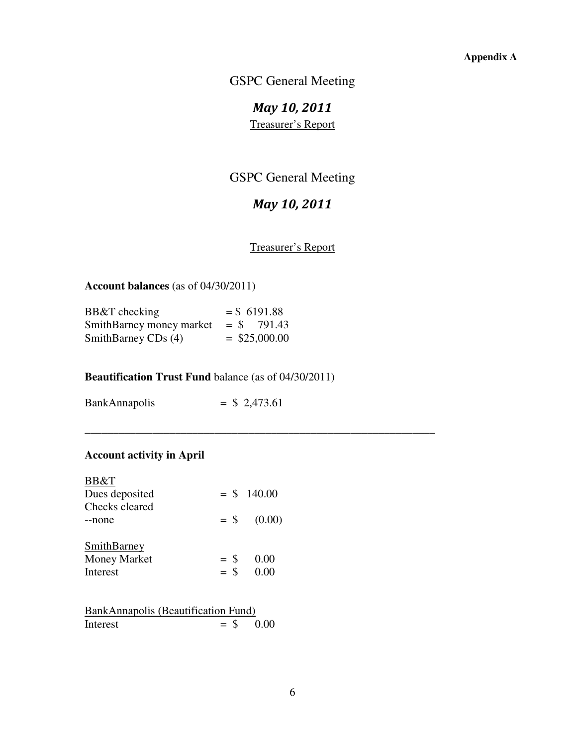GSPC General Meeting

*May 10, 2011*  Treasurer's Report

## GSPC General Meeting

# *May 10, 2011*

Treasurer's Report

 **Account balances** (as of 04/30/2011)

| BB&T checking            | $=$ \$ 6191.88  |
|--------------------------|-----------------|
| SmithBarney money market | $=$ \$ 791.43   |
| SmithBarney CDs (4)      | $=$ \$25,000.00 |

### **Beautification Trust Fund** balance (as of 04/30/2011)

\_\_\_\_\_\_\_\_\_\_\_\_\_\_\_\_\_\_\_\_\_\_\_\_\_\_\_\_\_\_\_\_\_\_\_\_\_\_\_\_\_\_\_\_\_\_\_\_\_\_\_\_\_\_\_\_\_\_\_\_\_\_

| <b>BankAnnapolis</b> | $=$ \$ 2,473.61 |
|----------------------|-----------------|
|----------------------|-----------------|

### **Account activity in April**

| BB&T<br>Dues deposited<br>Checks cleared            |                  | $=$ \$ 140.00  |
|-----------------------------------------------------|------------------|----------------|
| --none<br><b>SmithBarney</b><br><b>Money Market</b> | $=$ \$<br>$=$ \$ | (0.00)<br>0.00 |
| <b>Interest</b>                                     | $=$ \$           | (1)(1)         |

|          | BankAnnapolis (Beautification Fund) |  |
|----------|-------------------------------------|--|
| Interest | $=$ \$ 0.00                         |  |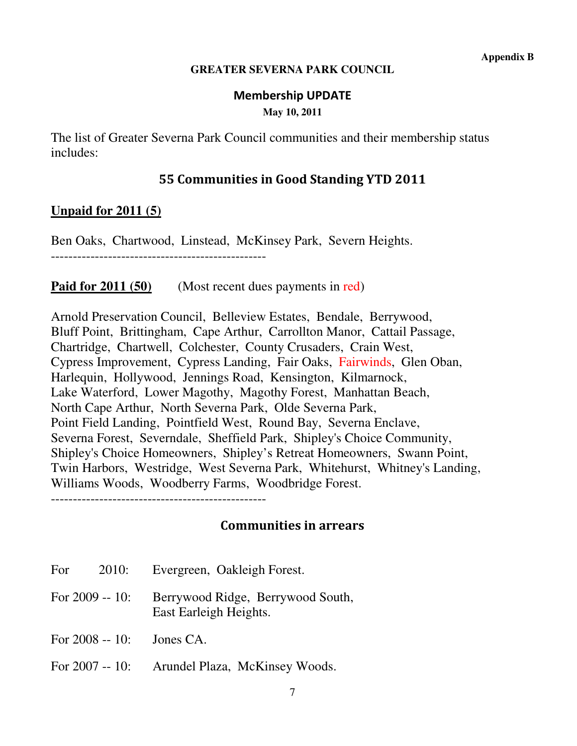### **GREATER SEVERNA PARK COUNCIL**

### **Membership UPDATE**

**May 10, 2011** 

The list of Greater Severna Park Council communities and their membership status includes:

## **55 Communities in Good Standing YTD 2011**

## **Unpaid for 2011 (5)**

Ben Oaks, Chartwood, Linstead, McKinsey Park, Severn Heights.

-------------------------------------------------

## **Paid for 2011 (50)** (Most recent dues payments in red)

Arnold Preservation Council, Belleview Estates, Bendale, Berrywood, Bluff Point, Brittingham, Cape Arthur, Carrollton Manor, Cattail Passage, Chartridge, Chartwell, Colchester, County Crusaders, Crain West, Cypress Improvement, Cypress Landing, Fair Oaks, Fairwinds, Glen Oban, Harlequin, Hollywood, Jennings Road, Kensington, Kilmarnock, Lake Waterford, Lower Magothy, Magothy Forest, Manhattan Beach, North Cape Arthur, North Severna Park, Olde Severna Park, Point Field Landing, Pointfield West, Round Bay, Severna Enclave, Severna Forest, Severndale, Sheffield Park, Shipley's Choice Community, Shipley's Choice Homeowners, Shipley's Retreat Homeowners, Swann Point, Twin Harbors, Westridge, West Severna Park, Whitehurst, Whitney's Landing, Williams Woods, Woodberry Farms, Woodbridge Forest.

-------------------------------------------------

## **Communities in arrears**

- For 2010: Evergreen, Oakleigh Forest.
- For 2009 -- 10: Berrywood Ridge, Berrywood South, East Earleigh Heights.
- For 2008 -- 10: Jones CA.
- For 2007 -- 10: Arundel Plaza, McKinsey Woods.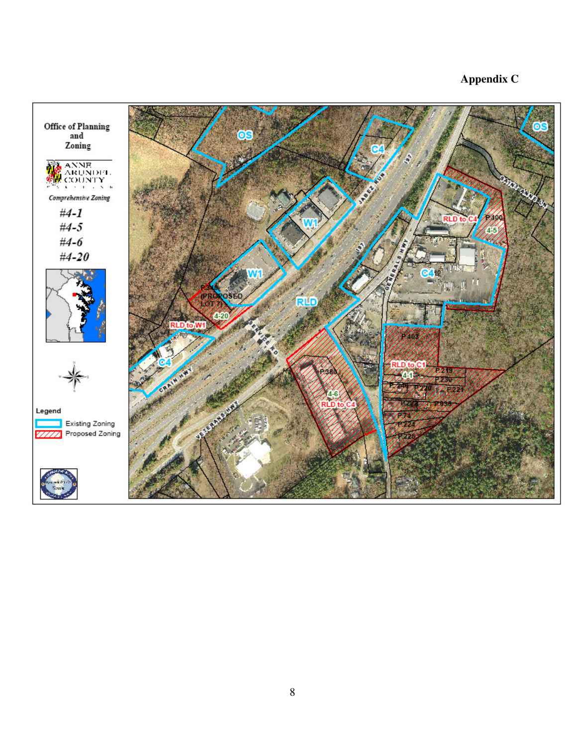## **Appendix C**

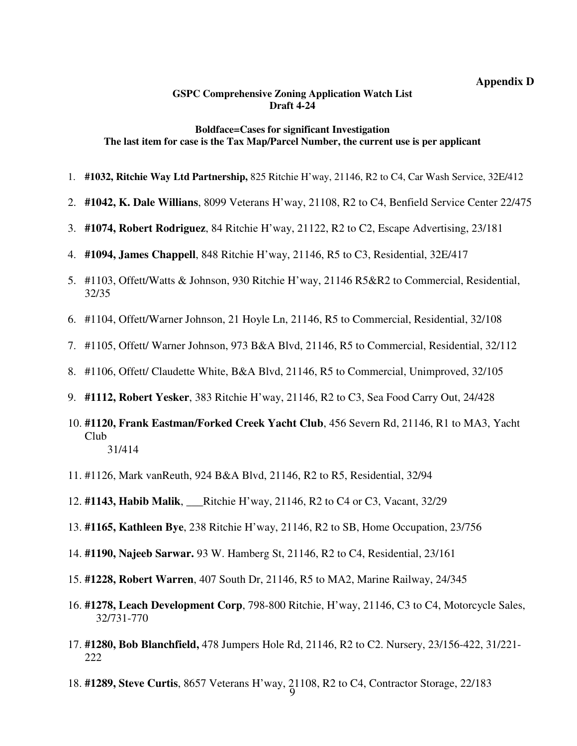#### **Appendix D**

#### **GSPC Comprehensive Zoning Application Watch List Draft 4-24**

#### **Boldface=Cases for significant Investigation The last item for case is the Tax Map/Parcel Number, the current use is per applicant**

- 1. **#1032, Ritchie Way Ltd Partnership,** 825 Ritchie H'way, 21146, R2 to C4, Car Wash Service, 32E/412
- 2. **#1042, K. Dale Willians**, 8099 Veterans H'way, 21108, R2 to C4, Benfield Service Center 22/475
- 3. **#1074, Robert Rodriguez**, 84 Ritchie H'way, 21122, R2 to C2, Escape Advertising, 23/181
- 4. **#1094, James Chappell**, 848 Ritchie H'way, 21146, R5 to C3, Residential, 32E/417
- 5. #1103, Offett/Watts & Johnson, 930 Ritchie H'way, 21146 R5&R2 to Commercial, Residential, 32/35
- 6. #1104, Offett/Warner Johnson, 21 Hoyle Ln, 21146, R5 to Commercial, Residential, 32/108
- 7. #1105, Offett/ Warner Johnson, 973 B&A Blvd, 21146, R5 to Commercial, Residential, 32/112
- 8. #1106, Offett/ Claudette White, B&A Blvd, 21146, R5 to Commercial, Unimproved, 32/105
- 9. **#1112, Robert Yesker**, 383 Ritchie H'way, 21146, R2 to C3, Sea Food Carry Out, 24/428
- 10. **#1120, Frank Eastman/Forked Creek Yacht Club**, 456 Severn Rd, 21146, R1 to MA3, Yacht Club 31/414
- 11. #1126, Mark vanReuth, 924 B&A Blvd, 21146, R2 to R5, Residential, 32/94
- 12. **#1143, Habib Malik**, \_\_\_Ritchie H'way, 21146, R2 to C4 or C3, Vacant, 32/29
- 13. **#1165, Kathleen Bye**, 238 Ritchie H'way, 21146, R2 to SB, Home Occupation, 23/756
- 14. **#1190, Najeeb Sarwar.** 93 W. Hamberg St, 21146, R2 to C4, Residential, 23/161
- 15. **#1228, Robert Warren**, 407 South Dr, 21146, R5 to MA2, Marine Railway, 24/345
- 16. **#1278, Leach Development Corp**, 798-800 Ritchie, H'way, 21146, C3 to C4, Motorcycle Sales, 32/731-770
- 17. **#1280, Bob Blanchfield,** 478 Jumpers Hole Rd, 21146, R2 to C2. Nursery, 23/156-422, 31/221- 222
- 18. **#1289, Steve Curtis**, 8657 Veterans H'way, 21108, R2 to C4, Contractor Storage, 22/183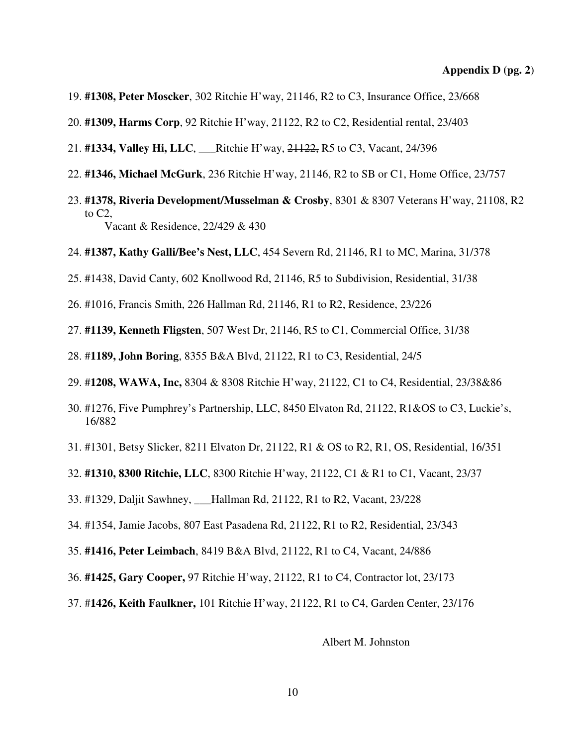- 19. **#1308, Peter Moscker**, 302 Ritchie H'way, 21146, R2 to C3, Insurance Office, 23/668
- 20. **#1309, Harms Corp**, 92 Ritchie H'way, 21122, R2 to C2, Residential rental, 23/403
- 21. **#1334, Valley Hi, LLC**, \_\_\_Ritchie H'way, 21122, R5 to C3, Vacant, 24/396
- 22. **#1346, Michael McGurk**, 236 Ritchie H'way, 21146, R2 to SB or C1, Home Office, 23/757
- 23. **#1378, Riveria Development/Musselman & Crosby**, 8301 & 8307 Veterans H'way, 21108, R2 to C2, Vacant & Residence, 22/429 & 430
- 24. **#1387, Kathy Galli/Bee's Nest, LLC**, 454 Severn Rd, 21146, R1 to MC, Marina, 31/378
- 25. #1438, David Canty, 602 Knollwood Rd, 21146, R5 to Subdivision, Residential, 31/38
- 26. #1016, Francis Smith, 226 Hallman Rd, 21146, R1 to R2, Residence, 23/226
- 27. **#1139, Kenneth Fligsten**, 507 West Dr, 21146, R5 to C1, Commercial Office, 31/38
- 28. #**1189, John Boring**, 8355 B&A Blvd, 21122, R1 to C3, Residential, 24/5
- 29. #**1208, WAWA, Inc,** 8304 & 8308 Ritchie H'way, 21122, C1 to C4, Residential, 23/38&86
- 30. #1276, Five Pumphrey's Partnership, LLC, 8450 Elvaton Rd, 21122, R1&OS to C3, Luckie's, 16/882
- 31. #1301, Betsy Slicker, 8211 Elvaton Dr, 21122, R1 & OS to R2, R1, OS, Residential, 16/351
- 32. **#1310, 8300 Ritchie, LLC**, 8300 Ritchie H'way, 21122, C1 & R1 to C1, Vacant, 23/37
- 33. #1329, Daljit Sawhney, \_\_\_Hallman Rd, 21122, R1 to R2, Vacant, 23/228
- 34. #1354, Jamie Jacobs, 807 East Pasadena Rd, 21122, R1 to R2, Residential, 23/343
- 35. **#1416, Peter Leimbach**, 8419 B&A Blvd, 21122, R1 to C4, Vacant, 24/886
- 36. **#1425, Gary Cooper,** 97 Ritchie H'way, 21122, R1 to C4, Contractor lot, 23/173
- 37. #**1426, Keith Faulkner,** 101 Ritchie H'way, 21122, R1 to C4, Garden Center, 23/176

Albert M. Johnston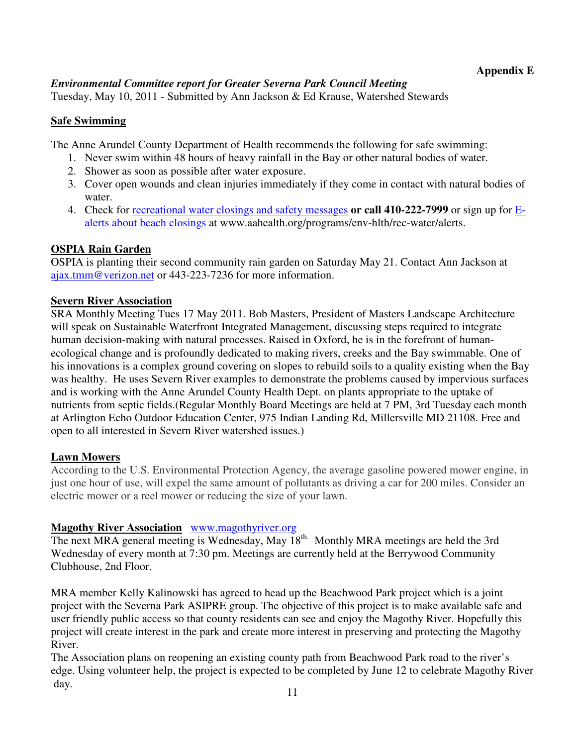### *Environmental Committee report for Greater Severna Park Council Meeting*

Tuesday, May 10, 2011 - Submitted by Ann Jackson & Ed Krause, Watershed Stewards

## **Safe Swimming**

The Anne Arundel County Department of Health recommends the following for safe swimming:

- 1. Never swim within 48 hours of heavy rainfall in the Bay or other natural bodies of water.
- 2. Shower as soon as possible after water exposure.
- 3. Cover open wounds and clean injuries immediately if they come in contact with natural bodies of water.
- 4. Check for recreational water closings and safety messages **or call 410-222-7999** or sign up for Ealerts about beach closings at www.aahealth.org/programs/env-hlth/rec-water/alerts.

## **OSPIA Rain Garden**

OSPIA is planting their second community rain garden on Saturday May 21. Contact Ann Jackson at ajax.tmm@verizon.net or 443-223-7236 for more information.

### **Severn River Association**

SRA Monthly Meeting Tues 17 May 2011. Bob Masters, President of Masters Landscape Architecture will speak on Sustainable Waterfront Integrated Management, discussing steps required to integrate human decision-making with natural processes. Raised in Oxford, he is in the forefront of humanecological change and is profoundly dedicated to making rivers, creeks and the Bay swimmable. One of his innovations is a complex ground covering on slopes to rebuild soils to a quality existing when the Bay was healthy. He uses Severn River examples to demonstrate the problems caused by impervious surfaces and is working with the Anne Arundel County Health Dept. on plants appropriate to the uptake of nutrients from septic fields.(Regular Monthly Board Meetings are held at 7 PM, 3rd Tuesday each month at Arlington Echo Outdoor Education Center, 975 Indian Landing Rd, Millersville MD 21108. Free and open to all interested in Severn River watershed issues.)

### **Lawn Mowers**

According to the U.S. Environmental Protection Agency, the average gasoline powered mower engine, in just one hour of use, will expel the same amount of pollutants as driving a car for 200 miles. Consider an electric mower or a reel mower or reducing the size of your lawn.

### **Magothy River Association** www.magothyriver.org

The next MRA general meeting is Wednesday, May 18<sup>th.</sup> Monthly MRA meetings are held the 3rd Wednesday of every month at 7:30 pm. Meetings are currently held at the Berrywood Community Clubhouse, 2nd Floor.

MRA member Kelly Kalinowski has agreed to head up the Beachwood Park project which is a joint project with the Severna Park ASIPRE group. The objective of this project is to make available safe and user friendly public access so that county residents can see and enjoy the Magothy River. Hopefully this project will create interest in the park and create more interest in preserving and protecting the Magothy River.

The Association plans on reopening an existing county path from Beachwood Park road to the river's edge. Using volunteer help, the project is expected to be completed by June 12 to celebrate Magothy River day.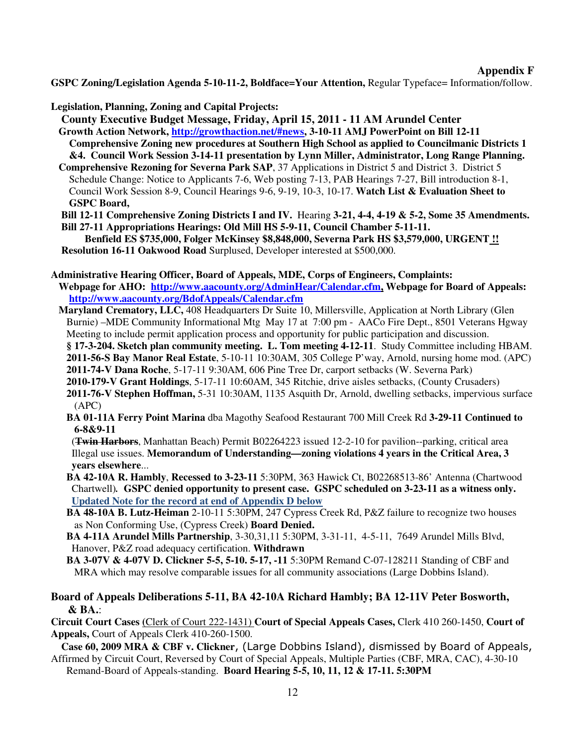#### **Appendix F**

**GSPC Zoning/Legislation Agenda 5-10-11-2, Boldface=Your Attention,** Regular Typeface= Information/follow.

**Legislation, Planning, Zoning and Capital Projects:**

 **County Executive Budget Message, Friday, April 15, 2011 - 11 AM Arundel Center**

 **Growth Action Network, http://growthaction.net/#news, 3-10-11 AMJ PowerPoint on Bill 12-11 Comprehensive Zoning new procedures at Southern High School as applied to Councilmanic Districts 1 &4. Council Work Session 3-14-11 presentation by Lynn Miller, Administrator, Long Range Planning.** 

 **Comprehensive Rezoning for Severna Park SAP**, 37 Applications in District 5 and District 3. District 5 Schedule Change: Notice to Applicants 7-6, Web posting 7-13, PAB Hearings 7-27, Bill introduction 8-1, Council Work Session 8-9, Council Hearings 9-6, 9-19, 10-3, 10-17. **Watch List & Evaluation Sheet to GSPC Board,** 

 **Bill 12-11 Comprehensive Zoning Districts I and IV.** Hearing **3-21, 4-4, 4-19 & 5-2, Some 35 Amendments. Bill 27-11 Appropriations Hearings: Old Mill HS 5-9-11, Council Chamber 5-11-11.** 

 **Benfield ES \$735,000, Folger McKinsey \$8,848,000, Severna Park HS \$3,579,000, URGENT !! Resolution 16-11 Oakwood Road** Surplused, Developer interested at \$500,000.

**Administrative Hearing Officer, Board of Appeals, MDE, Corps of Engineers, Complaints:** 

 **Webpage for AHO: http://www.aacounty.org/AdminHear/Calendar.cfm, Webpage for Board of Appeals: http://www.aacounty.org/BdofAppeals/Calendar.cfm** 

 **Maryland Crematory, LLC,** 408 Headquarters Dr Suite 10, Millersville, Application at North Library (Glen Burnie) –MDE Community Informational Mtg May 17 at 7:00 pm - AACo Fire Dept., 8501 Veterans Hgway Meeting to include permit application process and opportunity for public participation and discussion.

 **§ 17-3-204. Sketch plan community meeting. L. Tom meeting 4-12-11**. Study Committee including HBAM. **2011-56-S Bay Manor Real Estate**, 5-10-11 10:30AM, 305 College P'way, Arnold, nursing home mod. (APC)  **2011-74-V Dana Roche**, 5-17-11 9:30AM, 606 Pine Tree Dr, carport setbacks (W. Severna Park)

**2010-179-V Grant Holdings**, 5-17-11 10:60AM, 345 Ritchie, drive aisles setbacks, (County Crusaders)

- **2011-76-V Stephen Hoffman,** 5-31 10:30AM, 1135 Asquith Dr, Arnold, dwelling setbacks, impervious surface (APC)
- **BA 01-11A Ferry Point Marina** dba Magothy Seafood Restaurant 700 Mill Creek Rd **3-29-11 Continued to 6-8&9-11**

 (**Twin Harbors**, Manhattan Beach) Permit B02264223 issued 12-2-10 for pavilion--parking, critical area Illegal use issues. **Memorandum of Understanding—zoning violations 4 years in the Critical Area, 3 years elsewhere**...

- **BA 42-10A R. Hambly**, **Recessed to 3-23-11** 5:30PM, 363 Hawick Ct, B02268513-86' Antenna (Chartwood Chartwell)*.* **GSPC denied opportunity to present case. GSPC scheduled on 3-23-11 as a witness only.**  **Updated Note for the record at end of Appendix D below**
- **BA 48-10A B. Lutz-Heiman** 2-10-11 5:30PM, 247 Cypress Creek Rd, P&Z failure to recognize two houses as Non Conforming Use, (Cypress Creek) **Board Denied.**
- **BA 4-11A Arundel Mills Partnership**, 3-30,31,11 5:30PM, 3-31-11, 4-5-11, 7649 Arundel Mills Blvd, Hanover, P&Z road adequacy certification. **Withdrawn**

 **BA 3-07V & 4-07V D. Clickner 5-5, 5-10. 5-17, -11** 5:30PM Remand C-07-128211 Standing of CBF and MRA which may resolve comparable issues for all community associations (Large Dobbins Island).

**Board of Appeals Deliberations 5-11, BA 42-10A Richard Hambly; BA 12-11V Peter Bosworth, & BA.**:

**Circuit Court Cases (**Clerk of Court 222-1431) **Court of Special Appeals Cases,** Clerk 410 260-1450, **Court of Appeals,** Court of Appeals Clerk 410-260-1500.

 **Case 60, 2009 MRA & CBF v. Clickner**, (Large Dobbins Island), dismissed by Board of Appeals, Affirmed by Circuit Court, Reversed by Court of Special Appeals, Multiple Parties (CBF, MRA, CAC), 4-30-10 Remand-Board of Appeals-standing. **Board Hearing 5-5, 10, 11, 12 & 17-11. 5:30PM**